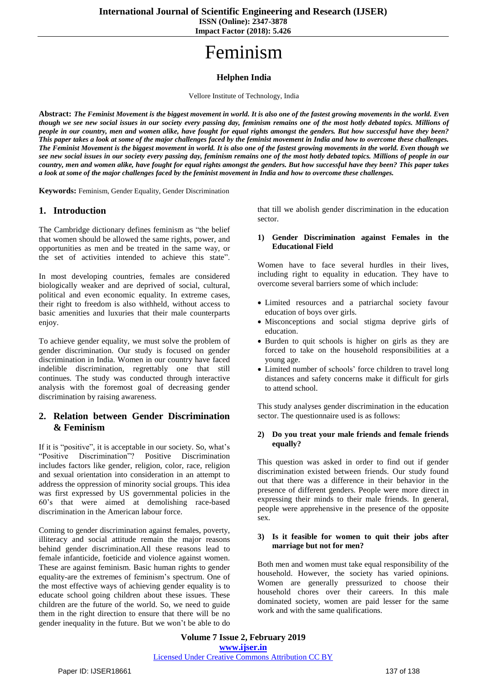**ISSN (Online): 2347-3878 Impact Factor (2018): 5.426**

# Feminism

## **Helphen India**

Vellore Institute of Technology, India

Abstract: The Feminist Movement is the biggest movement in world. It is also one of the fastest growing movements in the world. Even though we see new social issues in our society every passing day, feminism remains one of the most hotly debated topics. Millions of people in our country, men and women alike, have fought for equal rights amongst the genders. But how successful have they been? This paper takes a look at some of the major challenges faced by the feminist movement in India and how to overcome these challenges. The Feminist Movement is the biggest movement in world. It is also one of the fastest growing movements in the world. Even though we see new social issues in our society every passing day, feminism remains one of the most hotly debated topics. Millions of people in our country, men and women alike, have fought for equal rights amongst the genders. But how successful have they been? This paper takes a look at some of the major challenges faced by the feminist movement in India and how to overcome these challenges.

**Keywords:** Feminism, Gender Equality, Gender Discrimination

### **1. Introduction**

The Cambridge dictionary defines feminism as "the belief that women should be allowed the same rights, power, and opportunities as men and be treated in the same way, or the set of activities intended to achieve this state".

In most developing countries, females are considered biologically weaker and are deprived of social, cultural, political and even economic equality. In extreme cases, their right to freedom is also withheld, without access to basic amenities and luxuries that their male counterparts enjoy.

To achieve gender equality, we must solve the problem of gender discrimination. Our study is focused on gender discrimination in India. Women in our country have faced indelible discrimination, regrettably one that still continues. The study was conducted through interactive analysis with the foremost goal of decreasing gender discrimination by raising awareness.

## **2. Relation between Gender Discrimination & Feminism**

If it is "positive", it is acceptable in our society. So, what's "Positive Discrimination"? Positive Discrimination includes factors like gender, religion, color, race, religion and sexual orientation into consideration in an attempt to address the oppression of minority social groups. This idea was first expressed by US governmental policies in the 60's that were aimed at demolishing race-based discrimination in the American labour force.

Coming to gender discrimination against females, poverty, illiteracy and social attitude remain the major reasons behind gender discrimination.All these reasons lead to female infanticide, foeticide and violence against women. These are against feminism. Basic human rights to gender equality-are the extremes of feminism's spectrum. One of the most effective ways of achieving gender equality is to educate school going children about these issues. These children are the future of the world. So, we need to guide them in the right direction to ensure that there will be no gender inequality in the future. But we won't be able to do that till we abolish gender discrimination in the education sector.

#### **1) Gender Discrimination against Females in the Educational Field**

Women have to face several hurdles in their lives, including right to equality in education. They have to overcome several barriers some of which include:

- Limited resources and a patriarchal society favour education of boys over girls.
- Misconceptions and social stigma deprive girls of education.
- Burden to quit schools is higher on girls as they are forced to take on the household responsibilities at a young age.
- Limited number of schools' force children to travel long distances and safety concerns make it difficult for girls to attend school.

This study analyses gender discrimination in the education sector. The questionnaire used is as follows:

#### **2) Do you treat your male friends and female friends equally?**

This question was asked in order to find out if gender discrimination existed between friends. Our study found out that there was a difference in their behavior in the presence of different genders. People were more direct in expressing their minds to their male friends. In general, people were apprehensive in the presence of the opposite sex.

#### **3) Is it feasible for women to quit their jobs after marriage but not for men?**

Both men and women must take equal responsibility of the household. However, the society has varied opinions. Women are generally pressurized to choose their household chores over their careers. In this male dominated society, women are paid lesser for the same work and with the same qualifications.

**Volume 7 Issue 2, February 2019 www.ijser.in** Licensed Under Creative Commons Attribution CC BY